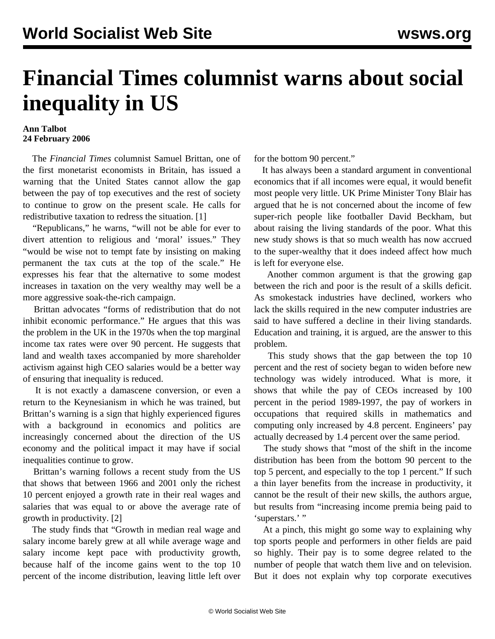## **Financial Times columnist warns about social inequality in US**

## **Ann Talbot 24 February 2006**

 The *Financial Times* columnist Samuel Brittan, one of the first monetarist economists in Britain, has issued a warning that the United States cannot allow the gap between the pay of top executives and the rest of society to continue to grow on the present scale. He calls for redistributive taxation to redress the situation. [1]

 "Republicans," he warns, "will not be able for ever to divert attention to religious and 'moral' issues." They "would be wise not to tempt fate by insisting on making permanent the tax cuts at the top of the scale." He expresses his fear that the alternative to some modest increases in taxation on the very wealthy may well be a more aggressive soak-the-rich campaign.

 Brittan advocates "forms of redistribution that do not inhibit economic performance." He argues that this was the problem in the UK in the 1970s when the top marginal income tax rates were over 90 percent. He suggests that land and wealth taxes accompanied by more shareholder activism against high CEO salaries would be a better way of ensuring that inequality is reduced.

 It is not exactly a damascene conversion, or even a return to the Keynesianism in which he was trained, but Brittan's warning is a sign that highly experienced figures with a background in economics and politics are increasingly concerned about the direction of the US economy and the political impact it may have if social inequalities continue to grow.

 Brittan's warning follows a recent study from the US that shows that between 1966 and 2001 only the richest 10 percent enjoyed a growth rate in their real wages and salaries that was equal to or above the average rate of growth in productivity. [2]

 The study finds that "Growth in median real wage and salary income barely grew at all while average wage and salary income kept pace with productivity growth, because half of the income gains went to the top 10 percent of the income distribution, leaving little left over for the bottom 90 percent."

 It has always been a standard argument in conventional economics that if all incomes were equal, it would benefit most people very little. UK Prime Minister Tony Blair has argued that he is not concerned about the income of few super-rich people like footballer David Beckham, but about raising the living standards of the poor. What this new study shows is that so much wealth has now accrued to the super-wealthy that it does indeed affect how much is left for everyone else.

 Another common argument is that the growing gap between the rich and poor is the result of a skills deficit. As smokestack industries have declined, workers who lack the skills required in the new computer industries are said to have suffered a decline in their living standards. Education and training, it is argued, are the answer to this problem.

 This study shows that the gap between the top 10 percent and the rest of society began to widen before new technology was widely introduced. What is more, it shows that while the pay of CEOs increased by 100 percent in the period 1989-1997, the pay of workers in occupations that required skills in mathematics and computing only increased by 4.8 percent. Engineers' pay actually decreased by 1.4 percent over the same period.

 The study shows that "most of the shift in the income distribution has been from the bottom 90 percent to the top 5 percent, and especially to the top 1 percent." If such a thin layer benefits from the increase in productivity, it cannot be the result of their new skills, the authors argue, but results from "increasing income premia being paid to 'superstars.' "

 At a pinch, this might go some way to explaining why top sports people and performers in other fields are paid so highly. Their pay is to some degree related to the number of people that watch them live and on television. But it does not explain why top corporate executives